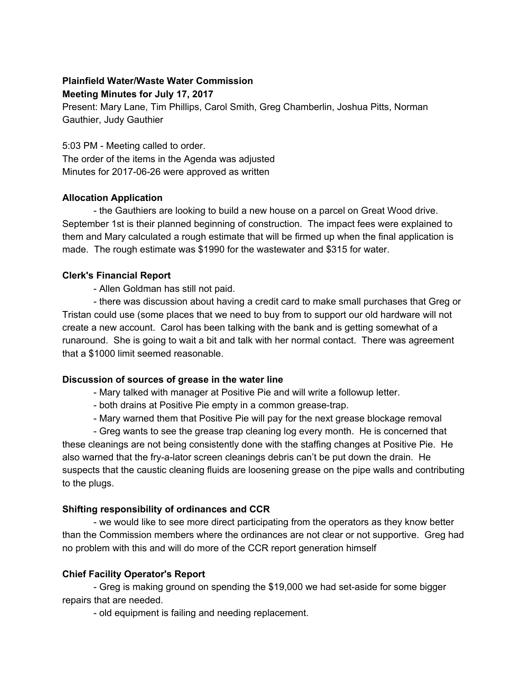# **Plainfield Water/Waste Water Commission Meeting Minutes for July 17, 2017**

Present: Mary Lane, Tim Phillips, Carol Smith, Greg Chamberlin, Joshua Pitts, Norman Gauthier, Judy Gauthier

5:03 PM - Meeting called to order. The order of the items in the Agenda was adjusted Minutes for 2017-06-26 were approved as written

## **Allocation Application**

- the Gauthiers are looking to build a new house on a parcel on Great Wood drive. September 1st is their planned beginning of construction. The impact fees were explained to them and Mary calculated a rough estimate that will be firmed up when the final application is made. The rough estimate was \$1990 for the wastewater and \$315 for water.

#### **Clerk's Financial Report**

- Allen Goldman has still not paid.

- there was discussion about having a credit card to make small purchases that Greg or Tristan could use (some places that we need to buy from to support our old hardware will not create a new account. Carol has been talking with the bank and is getting somewhat of a runaround. She is going to wait a bit and talk with her normal contact. There was agreement that a \$1000 limit seemed reasonable.

## **Discussion of sources of grease in the water line**

- Mary talked with manager at Positive Pie and will write a followup letter.
- both drains at Positive Pie empty in a common grease-trap.
- Mary warned them that Positive Pie will pay for the next grease blockage removal

- Greg wants to see the grease trap cleaning log every month. He is concerned that these cleanings are not being consistently done with the staffing changes at Positive Pie. He also warned that the fry-a-lator screen cleanings debris can't be put down the drain. He suspects that the caustic cleaning fluids are loosening grease on the pipe walls and contributing to the plugs.

## **Shifting responsibility of ordinances and CCR**

- we would like to see more direct participating from the operators as they know better than the Commission members where the ordinances are not clear or not supportive. Greg had no problem with this and will do more of the CCR report generation himself

## **Chief Facility Operator's Report**

- Greg is making ground on spending the \$19,000 we had set-aside for some bigger repairs that are needed.

- old equipment is failing and needing replacement.